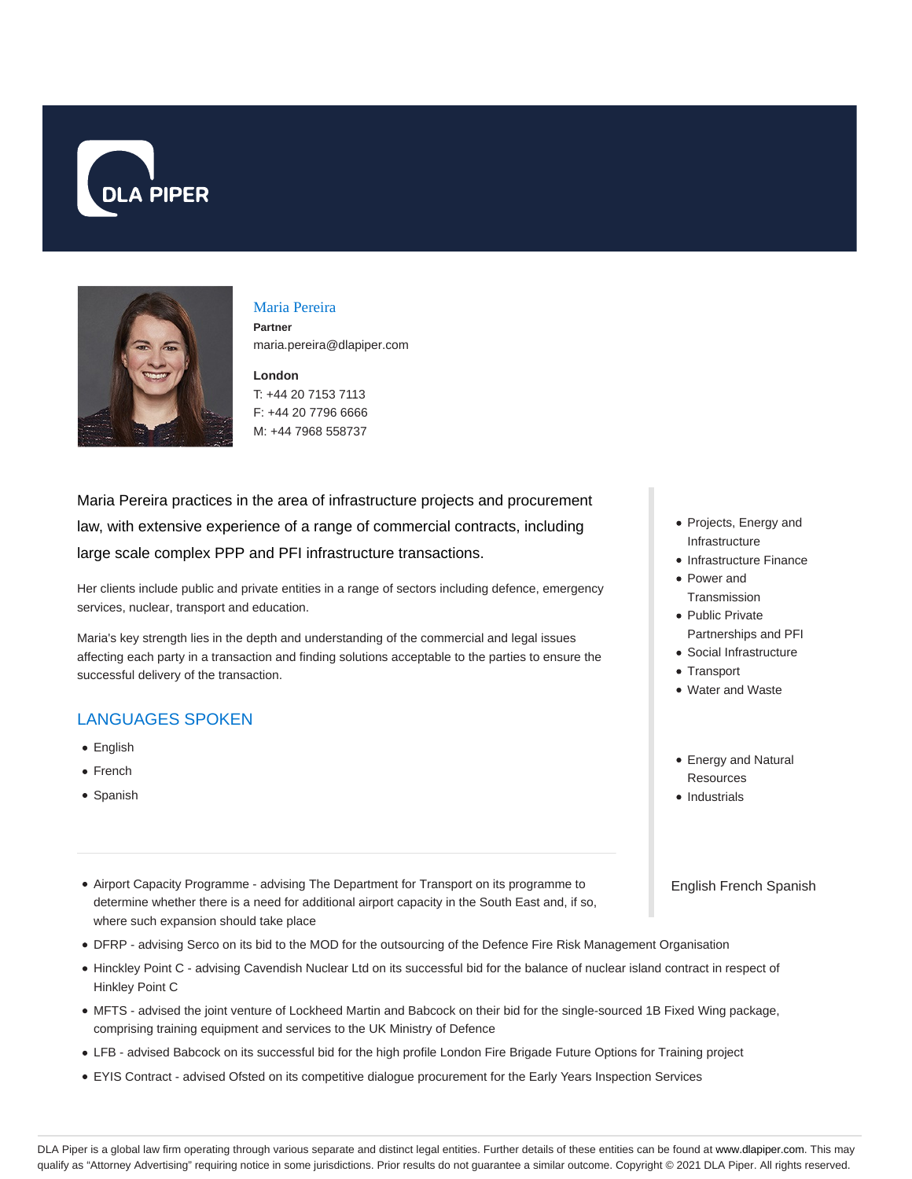



# Maria Pereira

**Partner** maria.pereira@dlapiper.com

**London** T: +44 20 7153 7113 F: +44 20 7796 6666 M: +44 7968 558737

Maria Pereira practices in the area of infrastructure projects and procurement law, with extensive experience of a range of commercial contracts, including large scale complex PPP and PFI infrastructure transactions.

Her clients include public and private entities in a range of sectors including defence, emergency services, nuclear, transport and education.

Maria's key strength lies in the depth and understanding of the commercial and legal issues affecting each party in a transaction and finding solutions acceptable to the parties to ensure the successful delivery of the transaction.

## LANGUAGES SPOKEN

- English
- French
- Spanish
- Airport Capacity Programme advising The Department for Transport on its programme to determine whether there is a need for additional airport capacity in the South East and, if so, where such expansion should take place
- DFRP advising Serco on its bid to the MOD for the outsourcing of the Defence Fire Risk Management Organisation
- Hinckley Point C advising Cavendish Nuclear Ltd on its successful bid for the balance of nuclear island contract in respect of Hinkley Point C
- MFTS advised the joint venture of Lockheed Martin and Babcock on their bid for the single-sourced 1B Fixed Wing package, comprising training equipment and services to the UK Ministry of Defence
- LFB advised Babcock on its successful bid for the high profile London Fire Brigade Future Options for Training project
- EYIS Contract advised Ofsted on its competitive dialogue procurement for the Early Years Inspection Services
- Projects, Energy and Infrastructure
- Infrastructure Finance
- Power and **Transmission**
- Public Private Partnerships and PFI
- Social Infrastructure
- Transport
- Water and Waste
- Energy and Natural Resources
- Industrials

English French Spanish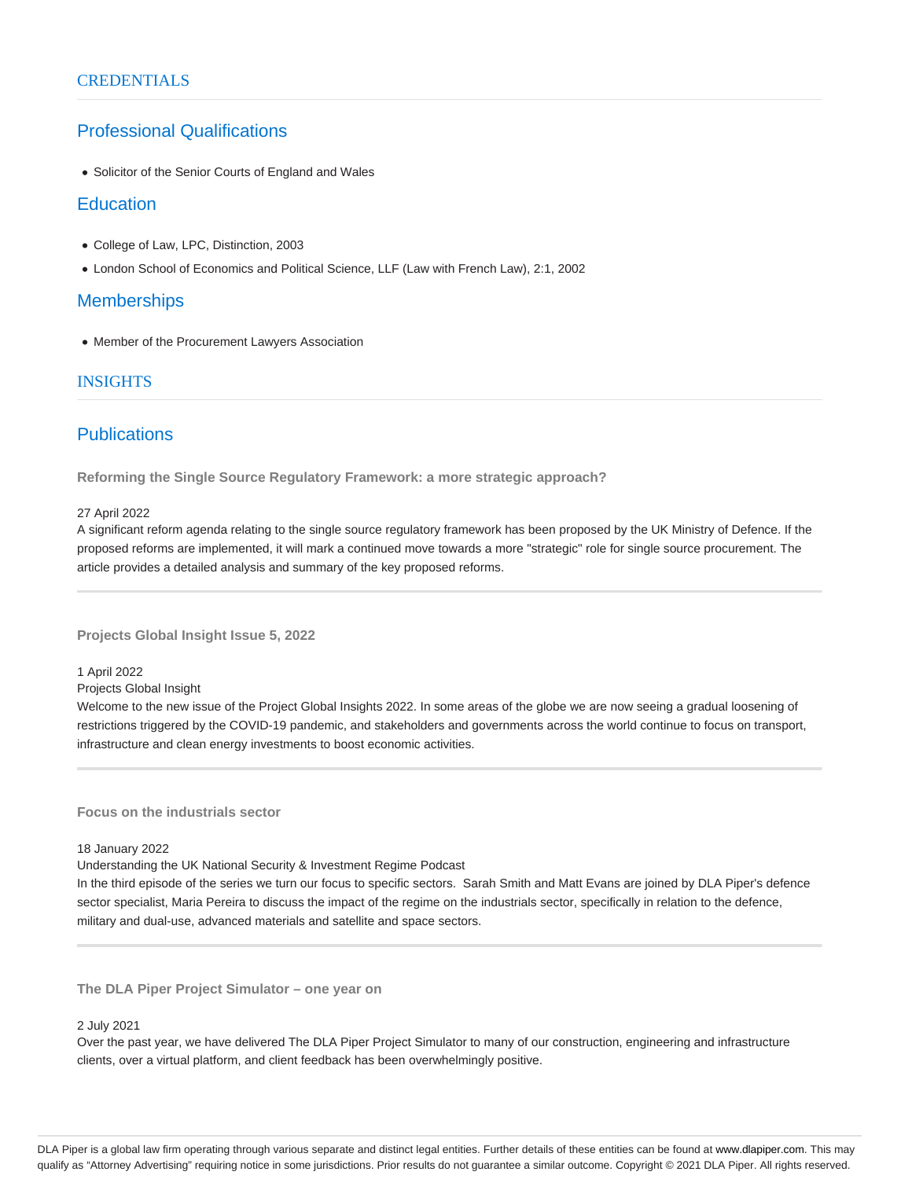# Professional Qualifications

Solicitor of the Senior Courts of England and Wales

## **Education**

- College of Law, LPC, Distinction, 2003
- London School of Economics and Political Science, LLF (Law with French Law), 2:1, 2002

## **Memberships**

Member of the Procurement Lawyers Association

### INSIGHTS

# **Publications**

**Reforming the Single Source Regulatory Framework: a more strategic approach?**

#### 27 April 2022

A significant reform agenda relating to the single source regulatory framework has been proposed by the UK Ministry of Defence. If the proposed reforms are implemented, it will mark a continued move towards a more "strategic" role for single source procurement. The article provides a detailed analysis and summary of the key proposed reforms.

**Projects Global Insight Issue 5, 2022**

1 April 2022

Projects Global Insight

Welcome to the new issue of the Project Global Insights 2022. In some areas of the globe we are now seeing a gradual loosening of restrictions triggered by the COVID-19 pandemic, and stakeholders and governments across the world continue to focus on transport, infrastructure and clean energy investments to boost economic activities.

**Focus on the industrials sector**

#### 18 January 2022

Understanding the UK National Security & Investment Regime Podcast

In the third episode of the series we turn our focus to specific sectors. Sarah Smith and Matt Evans are joined by DLA Piper's defence sector specialist, Maria Pereira to discuss the impact of the regime on the industrials sector, specifically in relation to the defence, military and dual-use, advanced materials and satellite and space sectors.

**The DLA Piper Project Simulator – one year on**

#### 2 July 2021

Over the past year, we have delivered The DLA Piper Project Simulator to many of our construction, engineering and infrastructure clients, over a virtual platform, and client feedback has been overwhelmingly positive.

DLA Piper is a global law firm operating through various separate and distinct legal entities. Further details of these entities can be found at www.dlapiper.com. This may qualify as "Attorney Advertising" requiring notice in some jurisdictions. Prior results do not guarantee a similar outcome. Copyright © 2021 DLA Piper. All rights reserved.